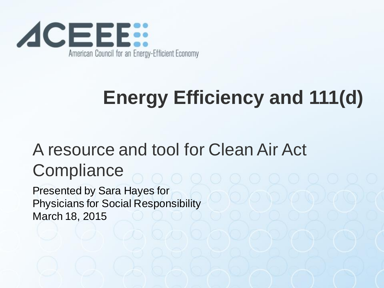

# **Energy Efficiency and 111(d)**

#### A resource and tool for Clean Air Act **Compliance**

Presented by Sara Hayes for Physicians for Social Responsibility March 18, 2015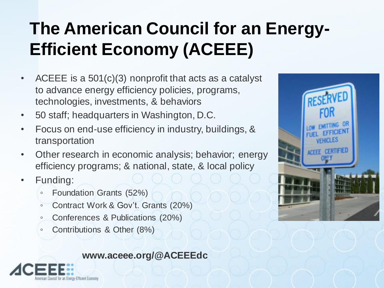#### **The American Council for an Energy-Efficient Economy (ACEEE)**

- ACEEE is a 501(c)(3) nonprofit that acts as a catalyst to advance energy efficiency policies, programs, technologies, investments, & behaviors
- 50 staff; headquarters in Washington, D.C.
- Focus on end-use efficiency in industry, buildings, & transportation
- Other research in economic analysis; behavior; energy efficiency programs; & national, state, & local policy
- Funding:
	- Foundation Grants (52%)
	- Contract Work & Gov't. Grants (20%)
	- Conferences & Publications (20%)
	- Contributions & Other (8%)

#### **www.aceee.org/@ACEEEdc**



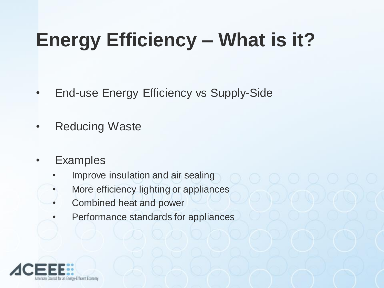# **Energy Efficiency – What is it?**

- End-use Energy Efficiency vs Supply-Side
- Reducing Waste
- **Examples** 
	- Improve insulation and air sealing
	- More efficiency lighting or appliances
	- Combined heat and power
	- Performance standards for appliances

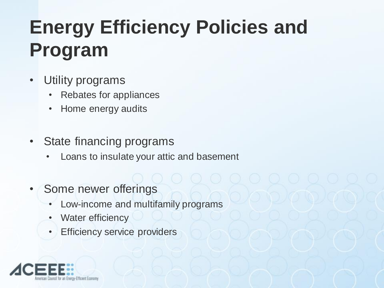# **Energy Efficiency Policies and Program**

- Utility programs
	- Rebates for appliances
	- Home energy audits
- State financing programs
	- Loans to insulate your attic and basement
- Some newer offerings
	- Low-income and multifamily programs
	- Water efficiency
	- Efficiency service providers

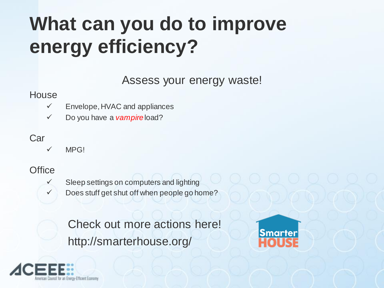# **What can you do to improve energy efficiency?**

Assess your energy waste!

#### **House**

- $\checkmark$  Envelope, HVAC and appliances
- Do you have a *vampire* load?

#### Car

 $V$  MPG!

#### **Office**

- 
- $\checkmark$  Sleep settings on computers and lighting
	- $\checkmark$  Does stuff get shut off when people go home?

Check out more actions here! http://smarterhouse.org/



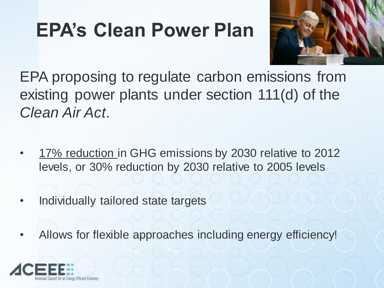### **EPA's Clean Power Plan**



EPA proposing to regulate carbon emissions from existing power plants under section 111(d) of the *Clean Air Act*.

- 17% reduction in GHG emissions by 2030 relative to 2012 levels, or 30% reduction by 2030 relative to 2005 levels
- Individually tailored state targets
- Allows for flexible approaches including energy efficiency!

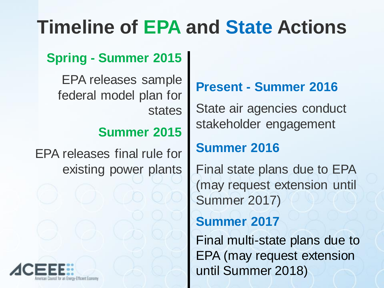### **Timeline of EPA and State Actions**

#### **Spring - Summer 2015**

EPA releases sample federal model plan for states

#### **Summer 2015**

EPA releases final rule for existing power plants



#### **Present - Summer 2016**

State air agencies conduct stakeholder engagement

#### **Summer 2016**

Final state plans due to EPA (may request extension until Summer 2017)

#### **Summer 2017**

Final multi-state plans due to EPA (may request extension until Summer 2018)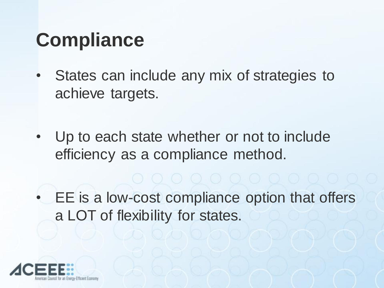#### **Compliance**

- States can include any mix of strategies to achieve targets.
- Up to each state whether or not to include efficiency as a compliance method.

• EE is a low-cost compliance option that offers a LOT of flexibility for states.

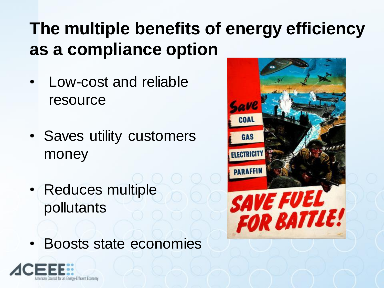#### **The multiple benefits of energy efficiency as a compliance option**

- Low-cost and reliable resource
- Saves utility customers money
- Reduces multiple pollutants
- Boosts state economies



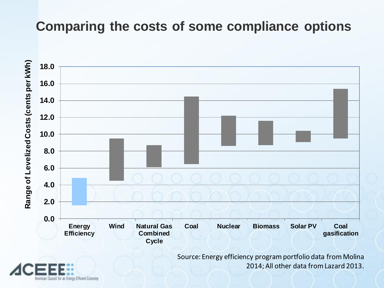#### **Comparing the costs of some compliance options**

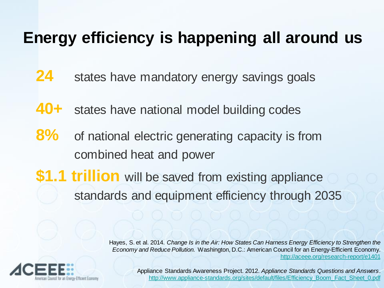#### **Energy efficiency is happening all around us**

- **24** states have mandatory energy savings goals
- **40+** states have national model building codes
- **8%** of national electric generating capacity is from combined heat and power
- **\$1.1 trillion** will be saved from existing appliance standards and equipment efficiency through 2035

Hayes, S. et al. 2014. *Change Is in the Air: How States Can Harness Energy Efficiency to Strengthen the Economy and Reduce Pollution.* Washington, D.C.: American Council for an Energy-Efficient Economy. <http://aceee.org/research-report/e1401>



Appliance Standards Awareness Project. 2012. *Appliance Standards Questions and Answers*. [http://www.appliance-standards.org/sites/default/files/Efficiency\\_Boom\\_Fact\\_Sheet\\_0.pdf](http://www.appliance-standards.org/sites/default/files/Efficiency_Boom_Fact_Sheet_0.pdf)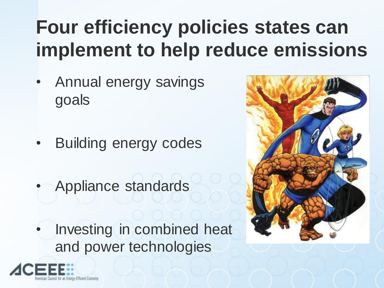# **Four efficiency policies states can implement to help reduce emissions**

- Annual energy savings goals
- Building energy codes
- Appliance standards

Investing in combined heat and power technologies



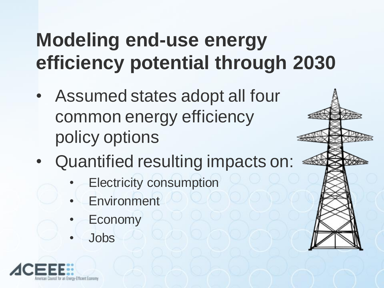### **Modeling end-use energy efficiency potential through 2030**

- Assumed states adopt all four common energy efficiency policy options
- Quantified resulting impacts on:
	- **Electricity consumption**
	- **Environment**
	- **Economy**
	- Jobs



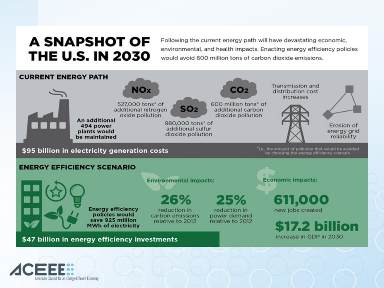#### A SNAPSHOT OF **THE U.S. IN 2030**

Following the current energy path will have devastating economic. environmental, and health impacts. Enacting energy efficiency policies would avoid 600 million tons of carbon dioxide emissions.



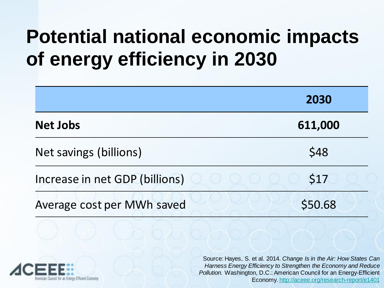### **Potential national economic impacts of energy efficiency in 2030**

|                                | 2030    |
|--------------------------------|---------|
| <b>Net Jobs</b>                | 611,000 |
| Net savings (billions)         | \$48    |
| Increase in net GDP (billions) | \$17    |
| Average cost per MWh saved     | \$50.68 |



Source: Hayes, S. et al. 2014. *Change Is in the Air: How States Can Harness Energy Efficiency to Strengthen the Economy and Reduce Pollution.* Washington, D.C.: American Council for an Energy-Efficient Economy.<http://aceee.org/research-report/e1401>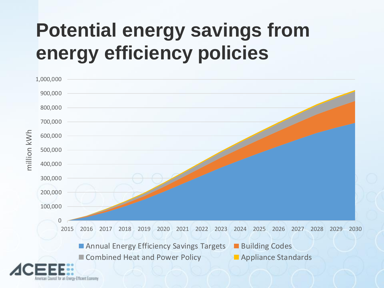### **Potential energy savings from energy efficiency policies**

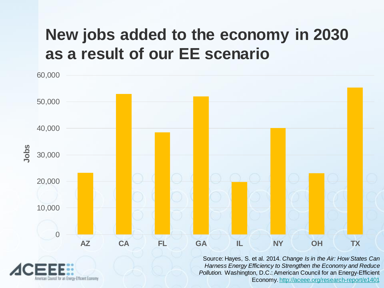#### **New jobs added to the economy in 2030 as a result of our EE scenario**

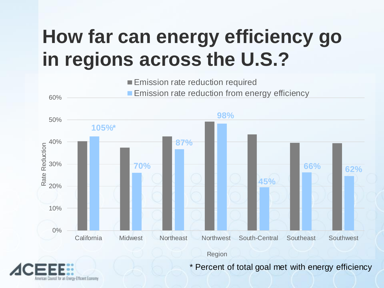### **How far can energy efficiency go in regions across the U.S.?**

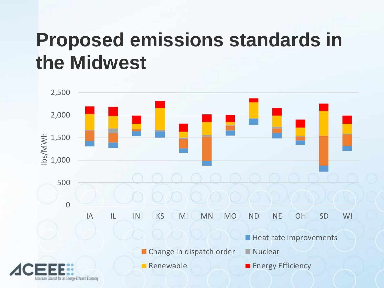### **Proposed emissions standards in the Midwest**

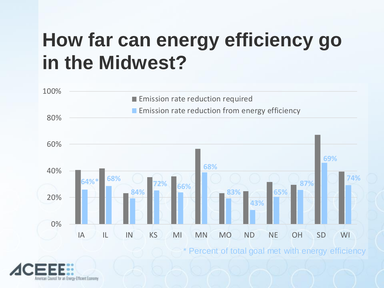### **How far can energy efficiency go in the Midwest?**

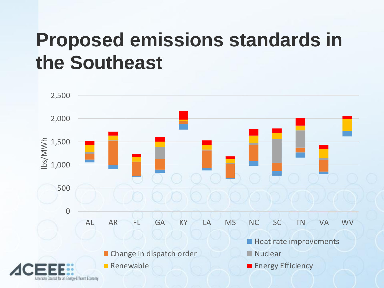### **Proposed emissions standards in the Southeast**

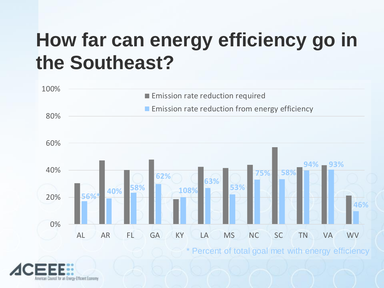### **How far can energy efficiency go in the Southeast?**

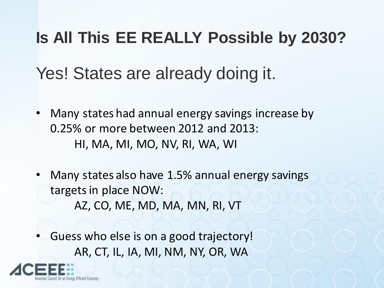# **Is All This EE REALLY Possible by 2030?**

#### Yes! States are already doing it.

- Many states had annual energy savings increase by 0.25% or more between 2012 and 2013: HI, MA, MI, MO, NV, RI, WA, WI
- Many states also have 1.5% annual energy savings targets in place NOW: AZ, CO, ME, MD, MA, MN, RI, VT
- Guess who else is on a good trajectory! AR, CT, IL, IA, MI, NM, NY, OR, WA

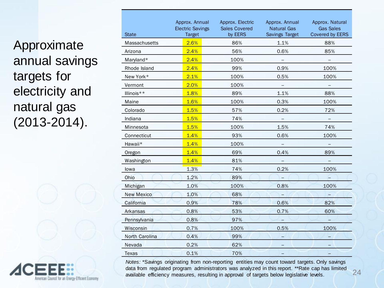Approximate annual savings targets for electricity and natural gas (2013-2014).



| <b>State</b>      | Approx. Annual<br><b>Electric Savings</b><br><b>Target</b> | Approx. Electric<br><b>Sales Covered</b><br>by EERS | Approx. Annual<br><b>Natural Gas</b><br>Savings Target | Approx. Natural<br><b>Gas Sales</b><br>Covered by EERS |
|-------------------|------------------------------------------------------------|-----------------------------------------------------|--------------------------------------------------------|--------------------------------------------------------|
| Massachusetts     | 2.6%                                                       | 86%                                                 | 1.1%                                                   | 88%                                                    |
| Arizona           | 2.4%                                                       | 56%                                                 | 0.6%                                                   | 85%                                                    |
| Maryland*         | 2.4%                                                       | 100%                                                | $\overline{\phantom{m}}$                               | $\qquad \qquad -$                                      |
| Rhode Island      | 2.4%                                                       | 99%                                                 | 0.9%                                                   | 100%                                                   |
| New York*         | 2.1%                                                       | 100%                                                | 0.5%                                                   | 100%                                                   |
| Vermont           | 2.0%                                                       | 100%                                                | $\overline{\phantom{a}}$                               |                                                        |
| Illinois**        | 1.8%                                                       | 89%                                                 | 1.1%                                                   | 88%                                                    |
| Maine             | 1.6%                                                       | 100%                                                | 0.3%                                                   | 100%                                                   |
| Colorado          | 1.5%                                                       | 57%                                                 | 0.2%                                                   | 72%                                                    |
| Indiana           | 1.5%                                                       | 74%                                                 |                                                        |                                                        |
| Minnesota         | 1.5%                                                       | 100%                                                | 1.5%                                                   | 74%                                                    |
| Connecticut       | 1.4%                                                       | 93%                                                 | 0.6%                                                   | 100%                                                   |
| Hawaii*           | 1.4%                                                       | 100%                                                |                                                        |                                                        |
| Oregon            | 1.4%                                                       | 69%                                                 | 0.4%                                                   | 89%                                                    |
| Washington        | 1.4%                                                       | 81%                                                 |                                                        |                                                        |
| lowa              | 1.3%                                                       | 74%                                                 | 0.2%                                                   | 100%                                                   |
| Ohio              | 1.2%                                                       | 89%                                                 |                                                        |                                                        |
| Michigan          | 1.0%                                                       | 100%                                                | 0.8%                                                   | 100%                                                   |
| <b>New Mexico</b> | 1.0%                                                       | 68%                                                 |                                                        |                                                        |
| California        | 0.9%                                                       | 78%                                                 | 0.6%                                                   | 82%                                                    |
| Arkansas          | 0.8%                                                       | 53%                                                 | 0.7%                                                   | 60%                                                    |
| Pennsylvania      | 0.8%                                                       | 97%                                                 |                                                        |                                                        |
| Wisconsin         | 0.7%                                                       | 100%                                                | 0.5%                                                   | 100%                                                   |
| North Carolina    | 0.4%                                                       | 99%                                                 |                                                        |                                                        |
| Nevada            | 0.2%                                                       | 62%                                                 |                                                        |                                                        |
| <b>Texas</b>      | 0.1%                                                       | 70%                                                 |                                                        |                                                        |

*Notes:* \*Savings originating from non-reporting entities may count toward targets. Only savings data from regulated program administrators was analyzed in this report. \*\*Rate cap has limited available efficiency measures, resulting in approval of targets below legislative levels.

24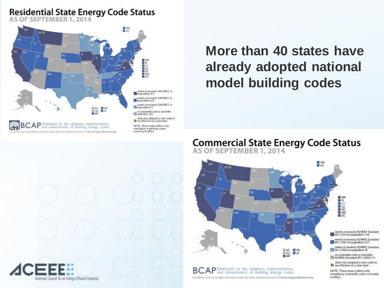#### Residential State Energy Code Status<br>AS OF SEPTEMBER 1, 2014



#### **More than 40 states have already adopted national model building codes**

#### **Commercial State Energy Code Status**<br>AS OF SEPTEMBER 1, 2014



**BCAP** and advancement of building energy codes Get all the most up-to-date code status maps and other valuable resources at www.energycodesocean.org meets or exceeds ASHRAE Standard<br>90.1-2010 or equivalent (14)

meets or exceeds ASHRAE Standard 90.1-2007 or equivalent (27)

meets or exceeds ASHRAE Standard 90.1-2004 or equivalent (4)

ASHRAE Standard 90.1-2004 (11)

state has adopted a new code to to be effective at a later date

NOTE: These maps reflect only mandatory statewide codes currently in effect.

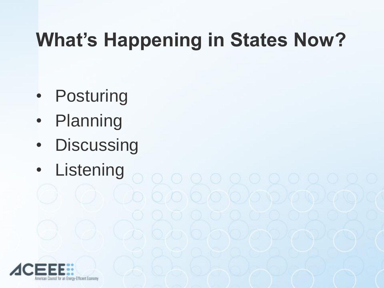# **What's Happening in States Now?**

 $O(O/O/O/O/O)O/O$ 

- Posturing
- Planning
- Discussing
- Listening

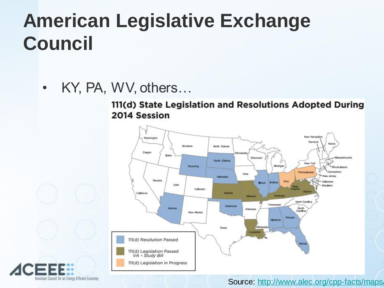### **American Legislative Exchange Council**

• KY, PA, WV, others...

111(d) State Legislation and Resolutions Adopted During 2014 Session





American Council for an Eneroy-Efficient Economy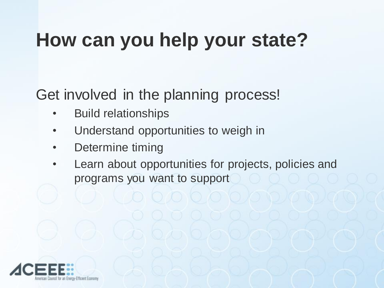### **How can you help your state?**

Get involved in the planning process!

- Build relationships
- Understand opportunities to weigh in
- Determine timing
- Learn about opportunities for projects, policies and programs you want to support

1010 O O JO